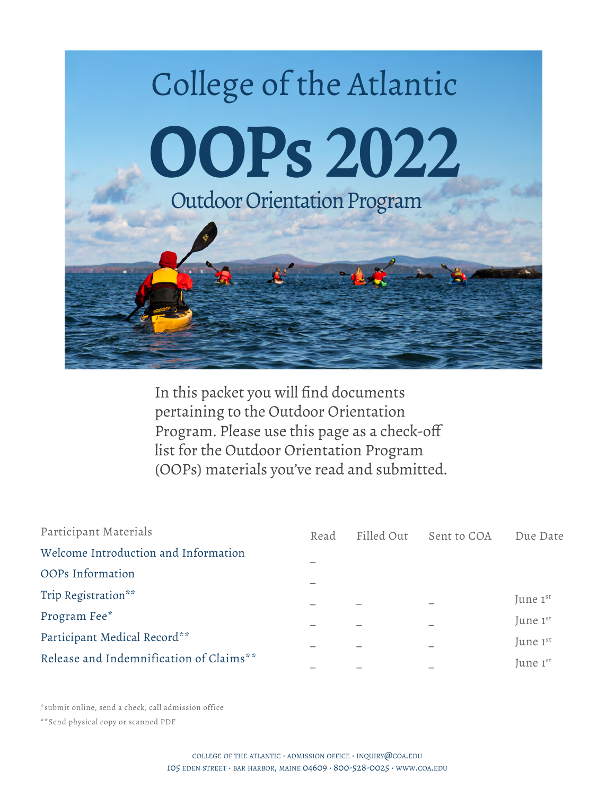

In this packet you will find documents pertaining to the Outdoor Orientation Program. Please use this page as a check-off list for the Outdoor Orientation Program (OOPs) materials you've read and submitted.

| Participant Materials                   | Read | Filled Out | Sent to COA | Due Date |
|-----------------------------------------|------|------------|-------------|----------|
| Welcome Introduction and Information    |      |            |             |          |
| OOPs Information                        |      |            |             |          |
| Trip Registration**                     |      |            |             | June 1st |
| Program Fee*                            |      |            |             | June 1st |
| Participant Medical Record**            |      |            |             | June 1st |
| Release and Indemnification of Claims** |      |            |             | June 1st |

\*submit online, send a check, call admission office

\*\*Send physical copy or scanned PDF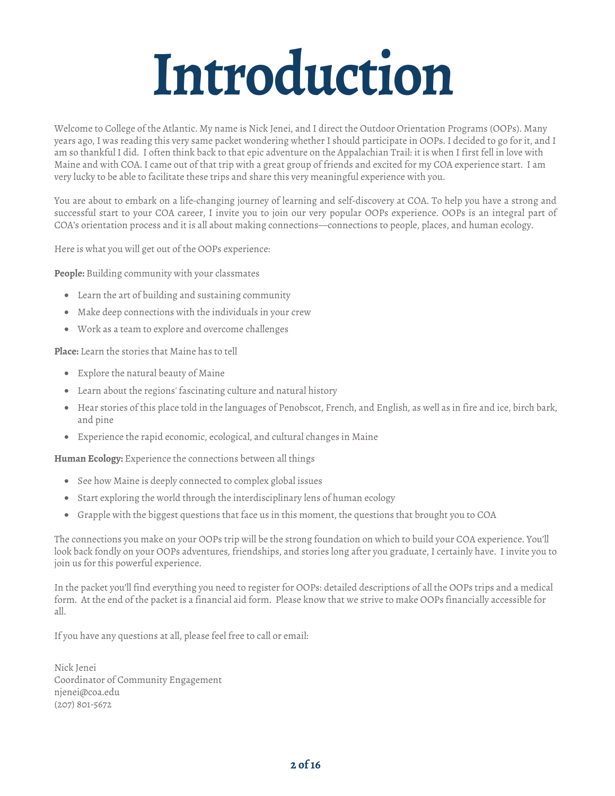# **Introduction**

Welcome to College of the Atlantic. My name is Nick Jenei, and I direct the Outdoor Orientation Programs (OOPs). Many years ago, I was reading this very same packet wondering whether I should participate in OOPs. I decided to go for it, and I am so thankful I did. I often think back to that epic adventure on the Appalachian Trail: it is when I first fell in love with Maine and with COA. I came out of that trip with a great group of friends and excited for my COA experience start. I am very lucky to be able to facilitate these trips and share this very meaningful experience with you.

You are about to embark on a life-changing journey of learning and self-discovery at COA. To help you have a strong and successful start to your COA career, I invite you to join our very popular OOPs experience. OOPs is an integral part of COA's orientation process and it is all about making connections—connections to people, places, and human ecology.

Here is what you will get out of the OOPs experience:

**People:** Building community with your classmates

- Learn the art of building and sustaining community
- Make deep connections with the individuals in your crew
- Work as a team to explore and overcome challenges

**Place:** Learn the stories that Maine has to tell

- Explore the natural beauty of Maine
- Learn about the regions' fascinating culture and natural history
- Hear stories of this place told in the languages of Penobscot, French, and English, as well as in fire and ice, birch bark, and pine
- Experience the rapid economic, ecological, and cultural changes in Maine

**Human Ecology:** Experience the connections between all things

- See how Maine is deeply connected to complex global issues
- Start exploring the world through the interdisciplinary lens of human ecology
- Grapple with the biggest questions that face us in this moment, the questions that brought you to COA

The connections you make on your OOPs trip will be the strong foundation on which to build your COA experience. You'll look back fondly on your OOPs adventures, friendships, and stories long after you graduate, I certainly have. I invite you to join us for this powerful experience.

In the packet you'll find everything you need to register for OOPs: detailed descriptions of all the OOPs trips and a medical form. At the end of the packet is a financial aid form. Please know that we strive to make OOPs financially accessible for all.

If you have any questions at all, please feel free to call or email:

Nick Jenei Coordinator of Community Engagement njenei@coa.edu (207) 801-5672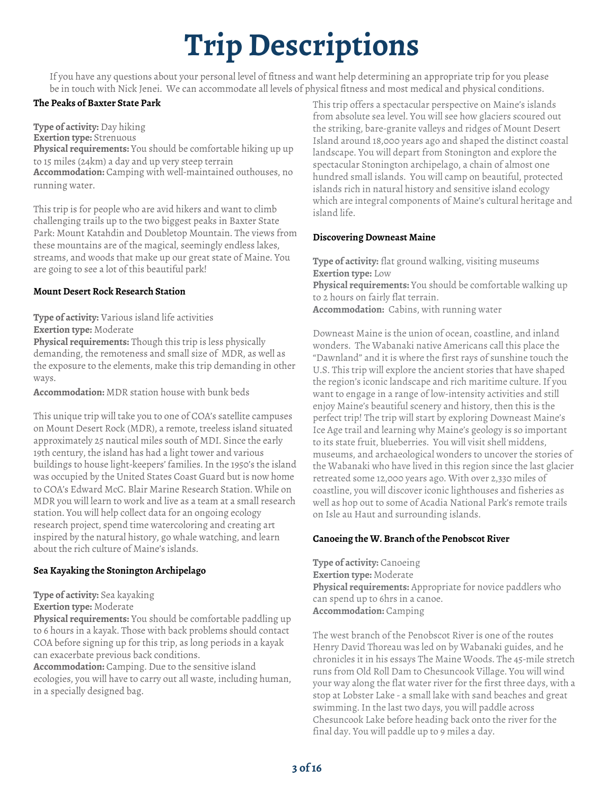## **Trip Descriptions**

If you have any questions about your personal level of fitness and want help determining an appropriate trip for you please be in touch with Nick Jenei. We can accommodate all levels of physical fitness and most medical and physical conditions.

#### **The Peaks of Baxter State Park**

**Type of activity:** Day hiking

**Exertion type:** Strenuous **Physical requirements:** You should be comfortable hiking up up to 15 miles (24km) a day and up very steep terrain **Accommodation:** Camping with well-maintained outhouses, no running water.

This trip is for people who are avid hikers and want to climb challenging trails up to the two biggest peaks in Baxter State Park: Mount Katahdin and Doubletop Mountain. The views from these mountains are of the magical, seemingly endless lakes, streams, and woods that make up our great state of Maine. You are going to see a lot of this beautiful park!

#### **Mount Desert Rock Research Station**

**Type of activity:** Various island life activities **Exertion type:** Moderate

**Physical requirements:** Though this trip is less physically demanding, the remoteness and small size of MDR, as well as the exposure to the elements, make this trip demanding in other ways.

**Accommodation:** MDR station house with bunk beds

This unique trip will take you to one of COA's satellite campuses on Mount Desert Rock (MDR), a remote, treeless island situated approximately 25 nautical miles south of MDI. Since the early 19th century, the island has had a light tower and various buildings to house light-keepers' families. In the 1950's the island was occupied by the United States Coast Guard but is now home to COA's Edward McC. Blair Marine Research Station. While on MDR you will learn to work and live as a team at a small research station. You will help collect data for an ongoing ecology research project, spend time watercoloring and creating art inspired by the natural history, go whale watching, and learn about the rich culture of Maine's islands.

#### **Sea Kayaking the Stonington Archipelago**

**Type of activity:** Sea kayaking

**Exertion type:** Moderate

**Physical requirements:** You should be comfortable paddling up to 6 hours in a kayak. Those with back problems should contact COA before signing up for this trip, as long periods in a kayak can exacerbate previous back conditions.

**Accommodation:** Camping. Due to the sensitive island ecologies, you will have to carry out all waste, including human, in a specially designed bag.

This trip offers a spectacular perspective on Maine's islands from absolute sea level. You will see how glaciers scoured out the striking, bare-granite valleys and ridges of Mount Desert Island around 18,000 years ago and shaped the distinct coastal landscape. You will depart from Stonington and explore the spectacular Stonington archipelago, a chain of almost one hundred small islands. You will camp on beautiful, protected islands rich in natural history and sensitive island ecology which are integral components of Maine's cultural heritage and island life.

#### **Discovering Downeast Maine**

**Type of activity:** flat ground walking, visiting museums **Exertion type:** Low **Physical requirements:** You should be comfortable walking up to 2 hours on fairly flat terrain. **Accommodation:** Cabins, with running water

Downeast Maine is the union of ocean, coastline, and inland wonders. The Wabanaki native Americans call this place the "Dawnland" and it is where the first rays of sunshine touch the U.S. This trip will explore the ancient stories that have shaped the region's iconic landscape and rich maritime culture. If you want to engage in a range of low-intensity activities and still enjoy Maine's beautiful scenery and history, then this is the perfect trip! The trip will start by exploring Downeast Maine's Ice Age trail and learning why Maine's geology is so important to its state fruit, blueberries. You will visit shell middens, museums, and archaeological wonders to uncover the stories of the Wabanaki who have lived in this region since the last glacier retreated some 12,000 years ago. With over 2,330 miles of coastline, you will discover iconic lighthouses and fisheries as well as hop out to some of Acadia National Park's remote trails on Isle au Haut and surrounding islands.

#### **Canoeing the W. Branch of the Penobscot River**

**Type of activity:** Canoeing **Exertion type:** Moderate **Physical requirements:** Appropriate for novice paddlers who can spend up to 6hrs in a canoe. **Accommodation:** Camping

The west branch of the Penobscot River is one of the routes Henry David Thoreau was led on by Wabanaki guides, and he chronicles it in his essays The Maine Woods. The 45-mile stretch runs from Old Roll Dam to Chesuncook Village. You will wind your way along the flat water river for the first three days, with a stop at Lobster Lake - a small lake with sand beaches and great swimming. In the last two days, you will paddle across Chesuncook Lake before heading back onto the river for the final day. You will paddle up to 9 miles a day.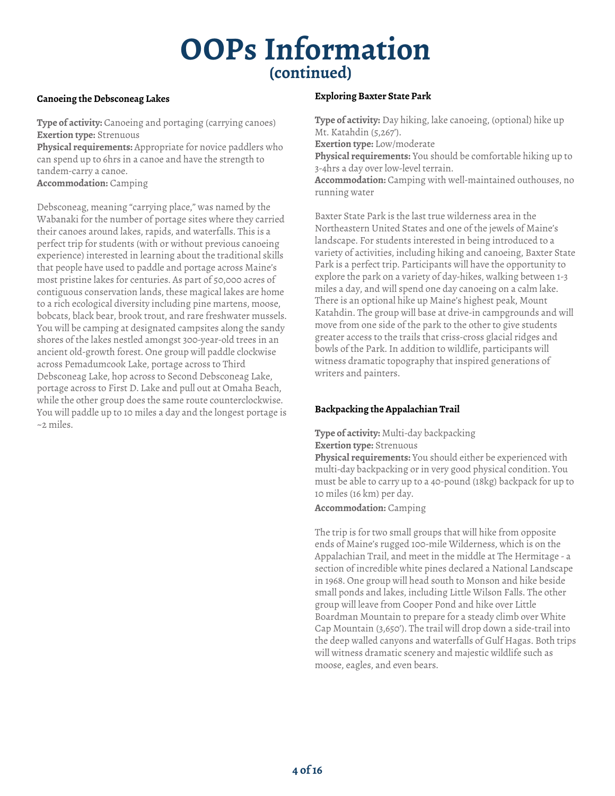### **(continued) OOPs Information**

#### **Canoeing the Debsconeag Lakes**

**Type of activity:** Canoeing and portaging (carrying canoes) **Exertion type:** Strenuous

**Physical requirements:** Appropriate for novice paddlers who can spend up to 6hrs in a canoe and have the strength to tandem-carry a canoe.

**Accommodation:** Camping

Debsconeag, meaning "carrying place," was named by the Wabanaki for the number of portage sites where they carried their canoes around lakes, rapids, and waterfalls. This is a perfect trip for students (with or without previous canoeing experience) interested in learning about the traditional skills that people have used to paddle and portage across Maine's most pristine lakes for centuries. As part of 50,000 acres of contiguous conservation lands, these magical lakes are home to a rich ecological diversity including pine martens, moose, bobcats, black bear, brook trout, and rare freshwater mussels. You will be camping at designated campsites along the sandy shores of the lakes nestled amongst 300-year-old trees in an ancient old-growth forest. One group will paddle clockwise across Pemadumcook Lake, portage across to Third Debsconeag Lake, hop across to Second Debsconeag Lake, portage across to First D. Lake and pull out at Omaha Beach, while the other group does the same route counterclockwise. You will paddle up to 10 miles a day and the longest portage is ~2 miles.

#### **Exploring Baxter State Park**

**Type of activity:** Day hiking, lake canoeing, (optional) hike up Mt. Katahdin (5,267'). **Exertion type:** Low/moderate **Physical requirements:** You should be comfortable hiking up to 3-4hrs a day over low-level terrain. **Accommodation:** Camping with well-maintained outhouses, no running water

Baxter State Park is the last true wilderness area in the Northeastern United States and one of the jewels of Maine's landscape. For students interested in being introduced to a variety of activities, including hiking and canoeing, Baxter State Park is a perfect trip. Participants will have the opportunity to explore the park on a variety of day-hikes, walking between 1-3 miles a day, and will spend one day canoeing on a calm lake. There is an optional hike up Maine's highest peak, Mount Katahdin. The group will base at drive-in campgrounds and will move from one side of the park to the other to give students greater access to the trails that criss-cross glacial ridges and bowls of the Park. In addition to wildlife, participants will witness dramatic topography that inspired generations of writers and painters.

#### **Backpacking the Appalachian Trail**

**Type of activity:** Multi-day backpacking

**Exertion type:** Strenuous

**Physical requirements:** You should either be experienced with multi-day backpacking or in very good physical condition. You must be able to carry up to a 40-pound (18kg) backpack for up to 10 miles (16 km) per day.

**Accommodation:** Camping

The trip is for two small groups that will hike from opposite ends of Maine's rugged 100-mile Wilderness, which is on the Appalachian Trail, and meet in the middle at The Hermitage - a section of incredible white pines declared a National Landscape in 1968. One group will head south to Monson and hike beside small ponds and lakes, including Little Wilson Falls. The other group will leave from Cooper Pond and hike over Little Boardman Mountain to prepare for a steady climb over White Cap Mountain (3,650'). The trail will drop down a side-trail into the deep walled canyons and waterfalls of Gulf Hagas. Both trips will witness dramatic scenery and majestic wildlife such as moose, eagles, and even bears.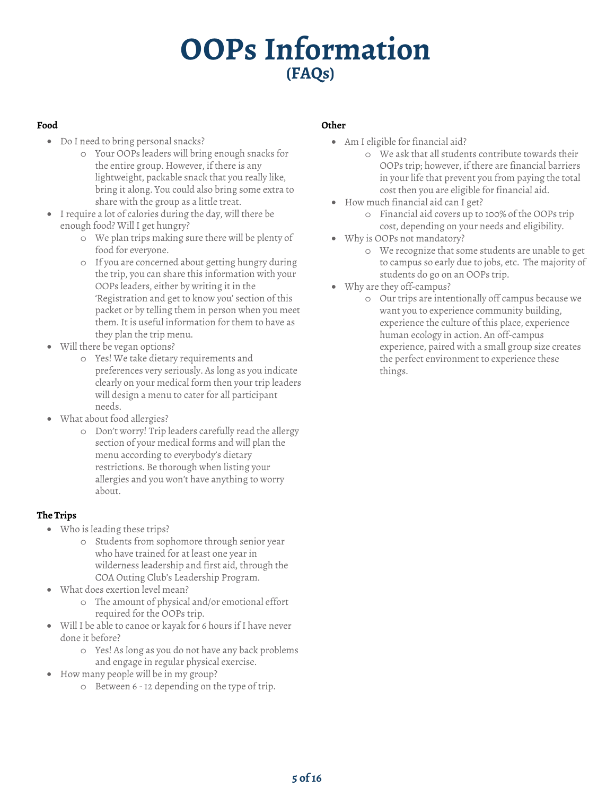### **(FAQs) OOPs Information**

#### **Food**

- Do I need to bring personal snacks?
	- o Your OOPs leaders will bring enough snacks for the entire group. However, if there is any lightweight, packable snack that you really like, bring it along. You could also bring some extra to share with the group as a little treat.
- I require a lot of calories during the day, will there be enough food? Will I get hungry?
	- o We plan trips making sure there will be plenty of food for everyone.
	- o If you are concerned about getting hungry during the trip, you can share this information with your OOPs leaders, either by writing it in the 'Registration and get to know you' section of this packet or by telling them in person when you meet them. It is useful information for them to have as they plan the trip menu.
- Will there be vegan options?
	- o Yes! We take dietary requirements and preferences very seriously. As long as you indicate clearly on your medical form then your trip leaders will design a menu to cater for all participant needs.
- What about food allergies?
	- o Don't worry! Trip leaders carefully read the allergy section of your medical forms and will plan the menu according to everybody's dietary restrictions. Be thorough when listing your allergies and you won't have anything to worry about.

#### **The Trips**

- Who is leading these trips?
	- o Students from sophomore through senior year who have trained for at least one year in wilderness leadership and first aid, through the COA Outing Club's Leadership Program.
- What does exertion level mean?
	- o The amount of physical and/or emotional effort required for the OOPs trip.
- Will I be able to canoe or kayak for 6 hours if I have never done it before?
	- o Yes! As long as you do not have any back problems and engage in regular physical exercise.
- How many people will be in my group?
	- o Between 6 12 depending on the type of trip.

#### **Other**

- Am I eligible for financial aid?
	- o We ask that all students contribute towards their OOPs trip; however, if there are financial barriers in your life that prevent you from paying the total cost then you are eligible for financial aid.
- How much financial aid can I get?
	- o Financial aid covers up to 100% of the OOPs trip cost, depending on your needs and eligibility.
- Why is OOPs not mandatory?
	- o We recognize that some students are unable to get to campus so early due to jobs, etc. The majority of students do go on an OOPs trip.
- Why are they off-campus?
	- o Our trips are intentionally off campus because we want you to experience community building, experience the culture of this place, experience human ecology in action. An off-campus experience, paired with a small group size creates the perfect environment to experience these things.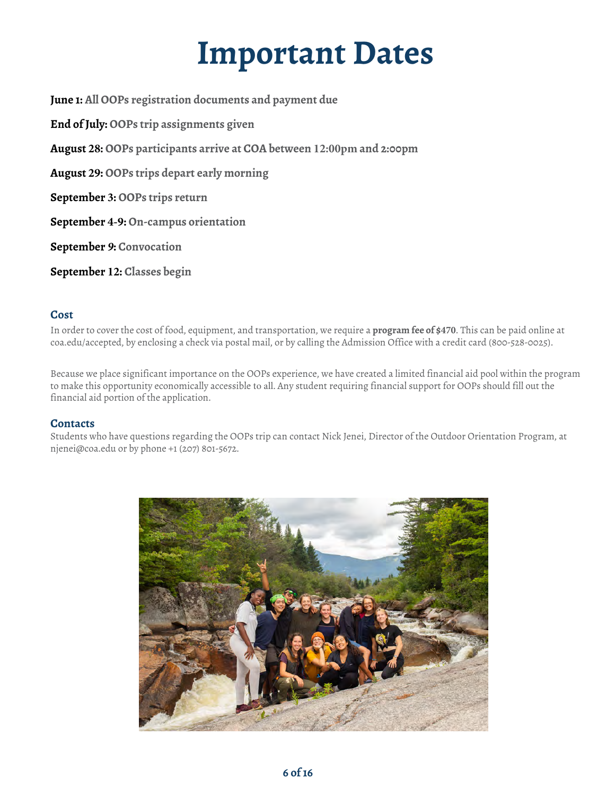### **Important Dates**

**June 1: All OOPs registration documents and payment due End of July: OOPs trip assignments given August 28: OOPs participants arrive at COA between 12:00pm and 2:00pm August 29: OOPs trips depart early morning September 3: OOPs trips return September 4-9: On-campus orientation September** *9***: Convocation September 12: Classes begin**

#### **Cost**

In order to cover the cost of food, equipment, and transportation, we require a **program fee of \$470**. This can be paid online at coa.edu/accepted, by enclosing a check via postal mail, or by calling the Admission Office with a credit card (800-528-0025).

Because we place significant importance on the OOPs experience, we have created a limited financial aid pool within the program to make this opportunity economically accessible to all. Any student requiring financial support for OOPs should fill out the financial aid portion of the application.

#### **Contacts**

Students who have questions regarding the OOPs trip can contact Nick Jenei, Director of the Outdoor Orientation Program, at njenei@coa.edu or by phone +1 (207) 801-5672.

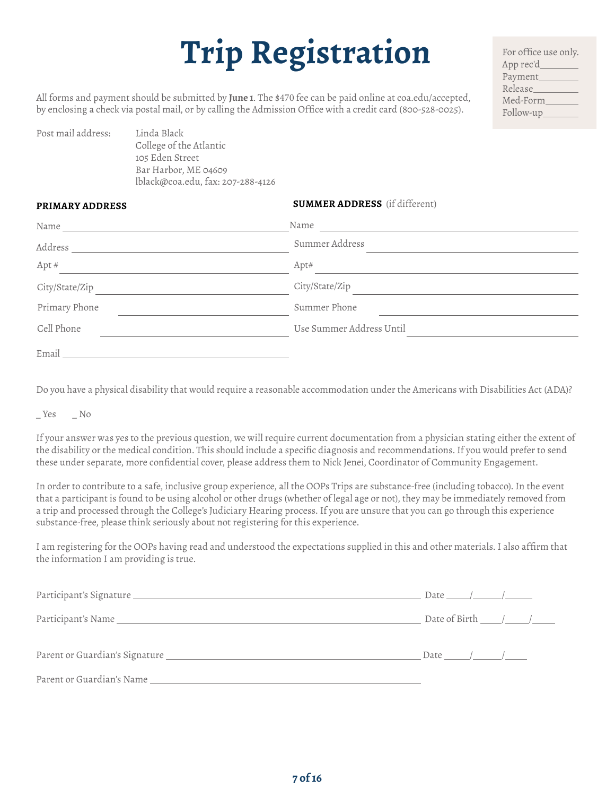## **Trip Registration**

For office use only. App rec'd Payment Release Med-Form Follow-up

All forms and payment should be submitted by **June 1**. The \$470 fee can be paid online at coa.edu/accepted, by enclosing a check via postal mail, or by calling the Admission Office with a credit card (800-528-0025).

| College of the Atlantic           |  |
|-----------------------------------|--|
|                                   |  |
| 105 Eden Street                   |  |
| Bar Harbor, ME 04609              |  |
| lblack@coa.edu, fax: 207-288-4126 |  |

#### **SUMMER ADDRESS** (if different)

| Name           | Name                     |  |
|----------------|--------------------------|--|
| Address        | Summer Address           |  |
| Apt#           | Apt#                     |  |
| City/State/Zip | City/State/Zip           |  |
| Primary Phone  | Summer Phone             |  |
| Cell Phone     | Use Summer Address Until |  |
| Email          |                          |  |

Do you have a physical disability that would require a reasonable accommodation under the Americans with Disabilities Act (ADA)?

 $Yes$   $No$ 

Pos

PRIMARY ADDRESS

If your answer was yes to the previous question, we will require current documentation from a physician stating either the extent of the disability or the medical condition. This should include a specific diagnosis and recommendations. If you would prefer to send these under separate, more confidential cover, please address them to Nick Jenei, Coordinator of Community Engagement.

In order to contribute to a safe, inclusive group experience, all the OOPs Trips are substance-free (including tobacco). In the event that a participant is found to be using alcohol or other drugs (whether of legal age or not), they may be immediately removed from a trip and processed through the College's Judiciary Hearing process. If you are unsure that you can go through this experience substance-free, please think seriously about not registering for this experience.

I am registering for the OOPs having read and understood the expectations supplied in this and other materials. I also affirm that the information I am providing is true.

|                                                                                                                                                                                                                                | Date of Birth $\_\_\_\_\_\_\_\_\_\_\_\$ |
|--------------------------------------------------------------------------------------------------------------------------------------------------------------------------------------------------------------------------------|-----------------------------------------|
|                                                                                                                                                                                                                                | Date $\sqrt{2}$                         |
| Parent or Guardian's Name Lawrence and the control of the control of the control of the control of the control of the control of the control of the control of the control of the control of the control of the control of the |                                         |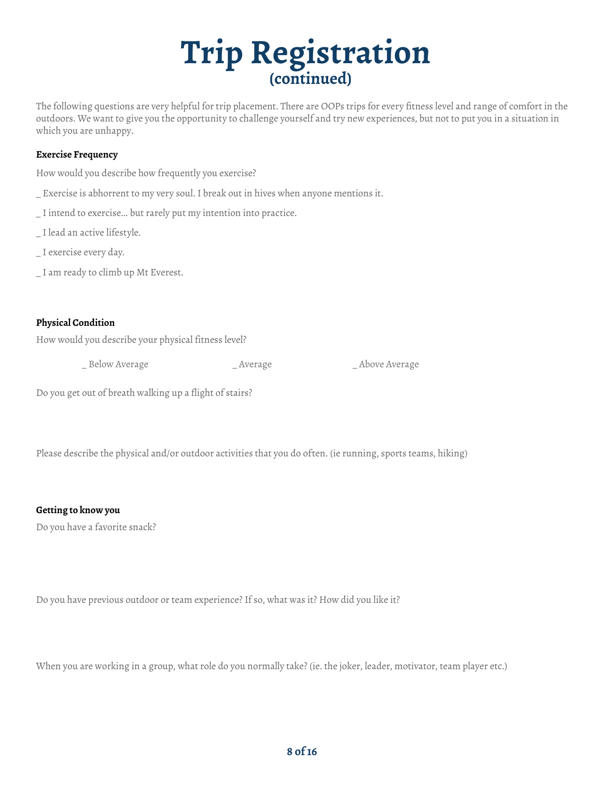### **Trip Registration (continued)**

The following questions are very helpful for trip placement. There are OOPs trips for every fitness level and range of comfort in the outdoors. We want to give you the opportunity to challenge yourself and try new experiences, but not to put you in a situation in which you are unhappy.

#### **Exercise Frequency**

How would you describe how frequently you exercise?

- \_ Exercise is abhorrent to my very soul. I break out in hives when anyone mentions it.
- \_ I intend to exercise... but rarely put my intention into practice.
- \_ I lead an active lifestyle.
- \_ I exercise every day.
- \_ I am ready to climb up Mt Everest.

#### **Physical Condition**

How would you describe your physical fitness level?

\_ Below Average \_ Average \_ Above Average

Do you get out of breath walking up a flight of stairs?

Please describe the physical and/or outdoor activities that you do often. (ie running, sports teams, hiking)

#### **Getting to know you**

Do you have a favorite snack?

Do you have previous outdoor or team experience? If so, what was it? How did you like it?

When you are working in a group, what role do you normally take? (ie. the joker, leader, motivator, team player etc.)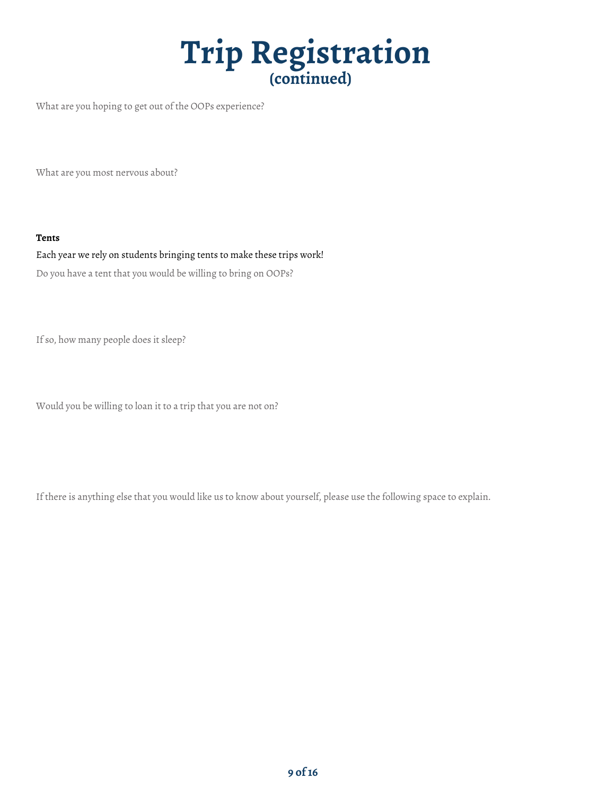### **Trip Registration (continued)**

What are you hoping to get out of the OOPs experience?

What are you most nervous about?

#### **Tents**

Each year we rely on students bringing tents to make these trips work! Do you have a tent that you would be willing to bring on OOPs?

If so, how many people does it sleep?

Would you be willing to loan it to a trip that you are not on?

If there is anything else that you would like us to know about yourself, please use the following space to explain.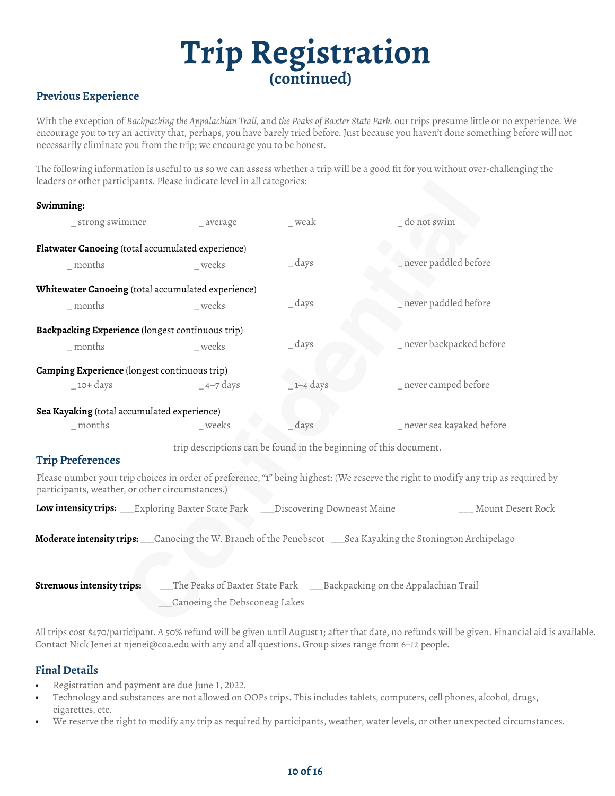### **Trip Registration (continued)**

#### **Previous Experience**

With the exception of *Backpacking the Appalachian Trail,* and *the Peaks of Baxter State Park.* our trips presume little or no experience. We encourage you to try an activity that, perhaps, you have barely tried before. Just because you haven't done something before will not necessarily eliminate you from the trip; we encourage you to be honest.

The following information is useful to us so we can assess whether a trip will be a good fit for you without over-challenging the leaders or other participants. Please indicate level in all categories:

| Swimming:                                                                          |                                                                   |                |                                                                                                                                    |
|------------------------------------------------------------------------------------|-------------------------------------------------------------------|----------------|------------------------------------------------------------------------------------------------------------------------------------|
| _strong swimmer                                                                    | _ average                                                         | _ weak         | _ do not swim                                                                                                                      |
| Flatwater Canoeing (total accumulated experience)                                  |                                                                   |                |                                                                                                                                    |
| months                                                                             | weeks                                                             | $_$ days       | never paddled before                                                                                                               |
| Whitewater Canoeing (total accumulated experience)                                 |                                                                   |                |                                                                                                                                    |
| $\_$ months                                                                        | weeks                                                             | $=$ days       | $\_$ never paddled before                                                                                                          |
| Backpacking Experience (longest continuous trip)                                   |                                                                   |                |                                                                                                                                    |
| months                                                                             | weeks                                                             | $\dots$ days   | _ never backpacked before                                                                                                          |
| <b>Camping Experience</b> (longest continuous trip)                                |                                                                   |                |                                                                                                                                    |
| $-10+ days$                                                                        | $-$ 4–7 days                                                      | $\_1 - 4$ days | _ never camped before                                                                                                              |
| Sea Kayaking (total accumulated experience)                                        |                                                                   |                |                                                                                                                                    |
| $\_$ months                                                                        | _weeks                                                            | days           | _ never sea kayaked before                                                                                                         |
|                                                                                    | trip descriptions can be found in the beginning of this document. |                |                                                                                                                                    |
| <b>Trip Preferences</b>                                                            |                                                                   |                |                                                                                                                                    |
| participants, weather, or other circumstances.)                                    |                                                                   |                | Please number your trip choices in order of preference, "1" being highest: (We reserve the right to modify any trip as required by |
| <b>Low intensity trips:</b> Exploring Baxter State Park Discovering Downeast Maine |                                                                   |                | ___ Mount Desert Rock                                                                                                              |
|                                                                                    |                                                                   |                | Moderate intensity trips: __Canoeing the W. Branch of the Penobscot ___Sea Kayaking the Stonington Archipelago                     |
| <b>Strenuous intensity trips:</b>                                                  |                                                                   |                |                                                                                                                                    |
|                                                                                    | Canoeing the Debsconeag Lakes                                     |                |                                                                                                                                    |

All trips cost \$470/participant. A 50% refund will be given until August 1; after that date, no refunds will be given. Financial aid is available. Contact Nick Jenei at njenei@coa.edu with any and all questions. Group sizes range from 6–12 people.

#### **Final Details**

- Registration and payment are due June 1, 2022.
- Technology and substances are not allowed on OOPs trips. This includes tablets, computers, cell phones, alcohol, drugs, cigarettes, etc.
- We reserve the right to modify any trip as required by participants, weather, water levels, or other unexpected circumstances.

#### **10 of 16**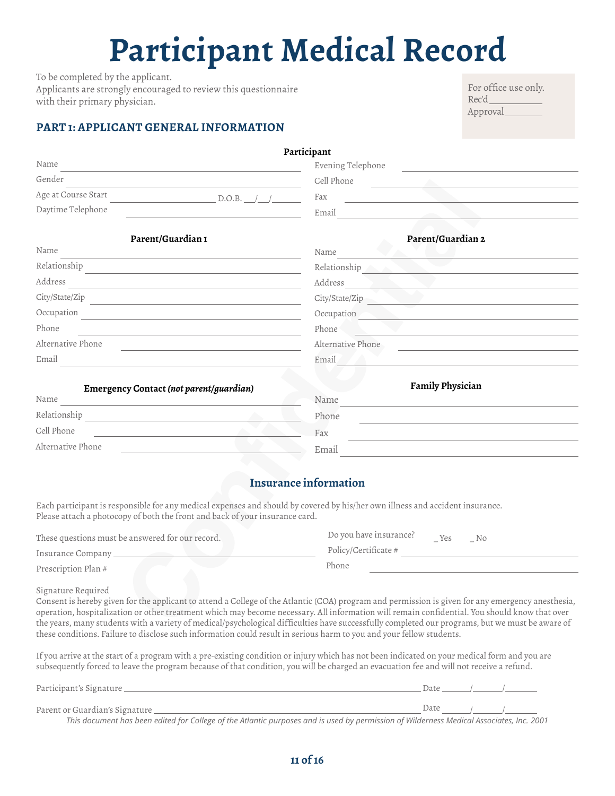## **Participant Medical Record**

To be completed by the applicant. Applicants are strongly encouraged to review this questionnaire with their primary physician.

#### **PART 1: APPLICANT GENERAL INFORMATION**

| For office use only. |  |
|----------------------|--|
| Rec'd_               |  |
| Approval             |  |

|                                                                                                                                       | Participant                                                                                              |
|---------------------------------------------------------------------------------------------------------------------------------------|----------------------------------------------------------------------------------------------------------|
| Name                                                                                                                                  | Evening Telephone                                                                                        |
| Gender                                                                                                                                | Cell Phone                                                                                               |
| Age at Course Start<br>$D.O.B.$ $\angle$                                                                                              | Fax                                                                                                      |
| Daytime Telephone                                                                                                                     | Email                                                                                                    |
| Parent/Guardian 1                                                                                                                     | Parent/Guardian 2                                                                                        |
| Name                                                                                                                                  | Name                                                                                                     |
| Relationship                                                                                                                          | Relationship                                                                                             |
| Address                                                                                                                               | Address                                                                                                  |
| City/State/Zip<br><u> 1980 - Jan Sterling von Berger von Berger von Berger von Berger von Berger von Berger von Berger von Berger</u> | City/State/Zip                                                                                           |
| Occupation<br>and the state of the state of the state of the state of the state of the state of the state of the state of the         | Occupation                                                                                               |
| Phone<br><u> 1989 - Johann John Stein, markin fan it ferskearre fan it ferskearre fan it ferskearre fan it ferskearre fan</u>         | Phone<br>the contract of the contract of the contract of the contract of the contract of the contract of |
| Alternative Phone                                                                                                                     | Alternative Phone                                                                                        |
| Email                                                                                                                                 | Email                                                                                                    |
| Emergency Contact (not parent/guardian)                                                                                               | Family Physician                                                                                         |
| Name<br><u> 1989 - Johann Stein, mars et al. 1989 - Ann an t-</u>                                                                     | Name                                                                                                     |
| Relationship                                                                                                                          | Phone                                                                                                    |
| Cell Phone<br><u> 1980 - Johann Barbara, martxa alemaniar politik (</u>                                                               | Fax                                                                                                      |
| Alternative Phone                                                                                                                     | Email                                                                                                    |

#### **Insurance information**

Each participant is responsible for any medical expenses and should by covered by his/her own illness and accident insurance. Please attach a photocopy of both the front and back of your insurance card.

| These questions must be answered for our record. | Do you have insurance?<br>Yes<br>No |
|--------------------------------------------------|-------------------------------------|
| Insurance Company                                | Policy/Certificate #                |
| Prescription Plan #                              | Phone                               |

Signature Required

Consent is hereby given for the applicant to attend a College of the Atlantic (COA) program and permission is given for any emergency anesthesia, operation, hospitalization or other treatment which may become necessary. All information will remain confidential. You should know that over the years, many students with a variety of medical/psychological difficulties have successfully completed our programs, but we must be aware of these conditions. Failure to disclose such information could result in serious harm to you and your fellow students.

If you arrive at the start of a program with a pre-existing condition or injury which has not been indicated on your medical form and you are subsequently forced to leave the program because of that condition, you will be charged an evacuation fee and will not receive a refund.

| Participant's Signature        | Date |  |                            |
|--------------------------------|------|--|----------------------------|
| Parent or Guardian's Signature |      |  | Date $\sqrt{1}$ $\sqrt{1}$ |
|                                |      |  |                            |

*This document has been edited for College of the Atlantic purposes and is used by permission of Wilderness Medical Associates, Inc. 2001*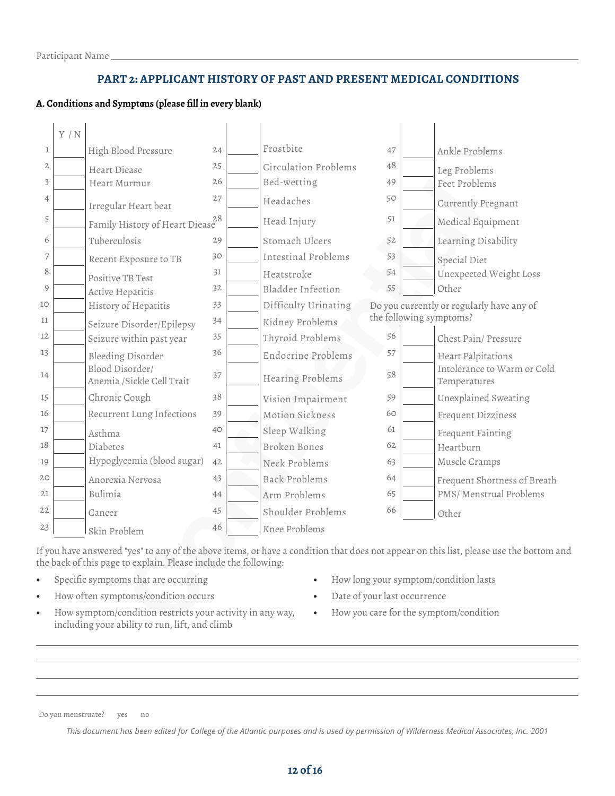#### **PART 2: APPLICANT HISTORY OF PAST AND PRESENT MEDICAL CONDITIONS**

#### **A. Conditions and Symptoms (please fill in every blank)**

|              | Y/N |                                              |    |                      |    |                         |                                             |  |
|--------------|-----|----------------------------------------------|----|----------------------|----|-------------------------|---------------------------------------------|--|
| 1            |     | High Blood Pressure                          | 24 | Frostbite            | 47 |                         | Ankle Problems                              |  |
| $\mathbf{2}$ |     | Heart Diease                                 | 25 | Circulation Problems | 48 |                         | Leg Problems                                |  |
| 3            |     | Heart Murmur                                 | 26 | Bed-wetting          | 49 |                         | Feet Problems                               |  |
| 4            |     | Irregular Heart beat                         | 27 | Headaches            | 50 |                         | Currently Pregnant                          |  |
| 5            |     | Family History of Heart Diease               | 28 | Head Injury          | 51 |                         | Medical Equipment                           |  |
| 6            |     | Tuberculosis                                 | 29 | Stomach Ulcers       | 52 |                         | Learning Disability                         |  |
| 7            |     | Recent Exposure to TB                        | 30 | Intestinal Problems  | 53 |                         | <b>Special Diet</b>                         |  |
| 8            |     | Positive TB Test                             | 31 | Heatstroke           | 54 |                         | Unexpected Weight Loss                      |  |
| 9            |     | Active Hepatitis                             | 32 | Bladder Infection    | 55 |                         | Other                                       |  |
| 10           |     | History of Hepatitis                         | 33 | Difficulty Urinating |    |                         | Do you currently or regularly have any of   |  |
| 11           |     | Seizure Disorder/Epilepsy                    | 34 | Kidney Problems      |    | the following symptoms? |                                             |  |
| 12           |     | Seizure within past year                     | 35 | Thyroid Problems     | 56 |                         | Chest Pain/ Pressure                        |  |
| 13           |     | <b>Bleeding Disorder</b>                     | 36 | Endocrine Problems   | 57 |                         | <b>Heart Palpitations</b>                   |  |
| 14           |     | Blood Disorder/<br>Anemia /Sickle Cell Trait | 37 | Hearing Problems     | 58 |                         | Intolerance to Warm or Cold<br>Temperatures |  |
| 15           |     | Chronic Cough                                | 38 | Vision Impairment    | 59 |                         | Unexplained Sweating                        |  |
| 16           |     | Recurrent Lung Infections                    | 39 | Motion Sickness      | 60 |                         | <b>Frequent Dizziness</b>                   |  |
| 17           |     | Asthma                                       | 40 | Sleep Walking        | 61 |                         | Frequent Fainting                           |  |
| 18           |     | Diabetes                                     | 41 | Broken Bones         | 62 |                         | Heartburn                                   |  |
| 19           |     | Hypoglycemia (blood sugar)                   | 42 | Neck Problems        | 63 |                         | Muscle Cramps                               |  |
| 20           |     | Anorexia Nervosa                             | 43 | <b>Back Problems</b> | 64 |                         | Frequent Shortness of Breath                |  |
| 21           |     | Bulimia                                      | 44 | Arm Problems         | 65 |                         | PMS/ Menstrual Problems                     |  |
| 22           |     | Cancer                                       | 45 | Shoulder Problems    | 66 |                         | Other                                       |  |
| $23\,$       |     | Skin Problem                                 | 46 | Knee Problems        |    |                         |                                             |  |

If you have answered "yes" to any of the above items, or have a condition that does not appear on this list, please use the bottom and the back of this page to explain. Please include the following:

- Specific symptoms that are occurring
- How often symptoms/condition occurs
- How symptom/condition restricts your activity in any way, including your ability to run, lift, and climb
- How long your symptom/condition lasts
- Date of your last occurrence
- How you care for the symptom/condition

Do you menstruate? yes no

*This document has been edited for College of the Atlantic purposes and is used by permission of Wilderness Medical Associates, Inc. 2001*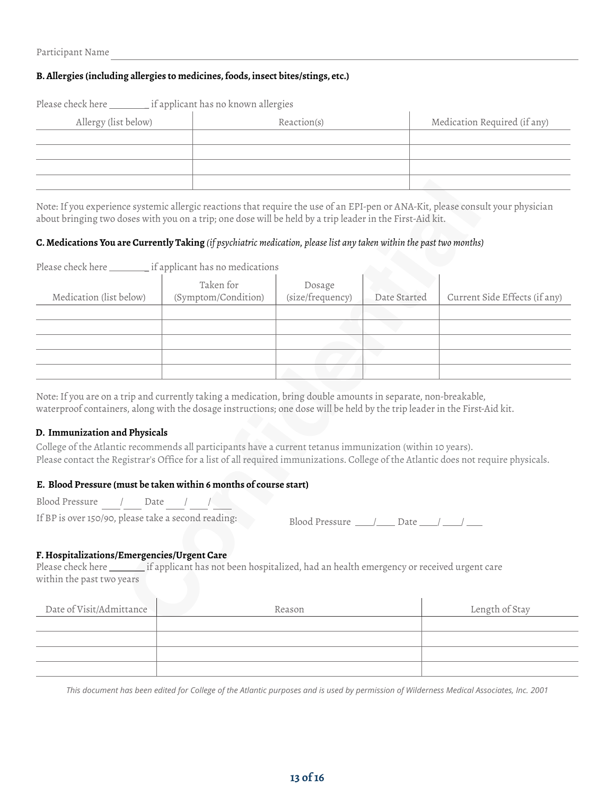#### **B. Allergies (including allergies to medicines, foods, insect bites/stings, etc.)**

| if applicant has no known allergies<br>Please check here |             |                              |  |  |  |  |  |
|----------------------------------------------------------|-------------|------------------------------|--|--|--|--|--|
| Allergy (list below)                                     | Reaction(s) | Medication Required (if any) |  |  |  |  |  |
|                                                          |             |                              |  |  |  |  |  |
|                                                          |             |                              |  |  |  |  |  |
|                                                          |             |                              |  |  |  |  |  |
|                                                          |             |                              |  |  |  |  |  |

Note: If you experience systemic allergic reactions that require the use of an EPI-pen or ANA-Kit, please consult your physician about bringing two doses with you on a trip; one dose will be held by a trip leader in the First-Aid kit.

#### **C. Medications You are Currently Taking** *(if psychiatric medication, please list any taken within the past two months)*

Please check here \_\_\_\_\_\_\_\_ if applicant has no medications

| Medication (list below) | Taken for<br>(Symptom/Condition) | Dosage<br>(size/frequency) | Date Started | Current Side Effects (if any) |
|-------------------------|----------------------------------|----------------------------|--------------|-------------------------------|
|                         |                                  |                            |              |                               |
|                         |                                  |                            |              |                               |
|                         |                                  |                            |              |                               |
|                         |                                  |                            |              |                               |
|                         |                                  |                            |              |                               |

Note: If you are on a trip and currently taking a medication, bring double amounts in separate, non-breakable, waterproof containers, along with the dosage instructions; one dose will be held by the trip leader in the First-Aid kit.

#### **D. Immunization and Physicals**

College of the Atlantic recommends all participants have a current tetanus immunization (within 10 years). Please contact the Registrar's Office for a list of all required immunizations. College of the Atlantic does not require physicals.

#### **E. Blood Pressure (must be taken within 6 months of course start)**

Blood Pressure / Date / /

If BP is over 150/90, please take a second reading:

| Blood Pressure |  | Date |  |
|----------------|--|------|--|
|----------------|--|------|--|

#### **F. Hospitalizations/Emergencies/Urgent Care**

Please check here if applicant has not been hospitalized, had an health emergency or received urgent care within the past two years

| Date of Visit/Admittance | Reason | Length of Stay |
|--------------------------|--------|----------------|
|                          |        |                |
|                          |        |                |
|                          |        |                |
|                          |        |                |

This document has been edited for College of the Atlantic purposes and is used by permission of Wilderness Medical Associates, Inc. 2001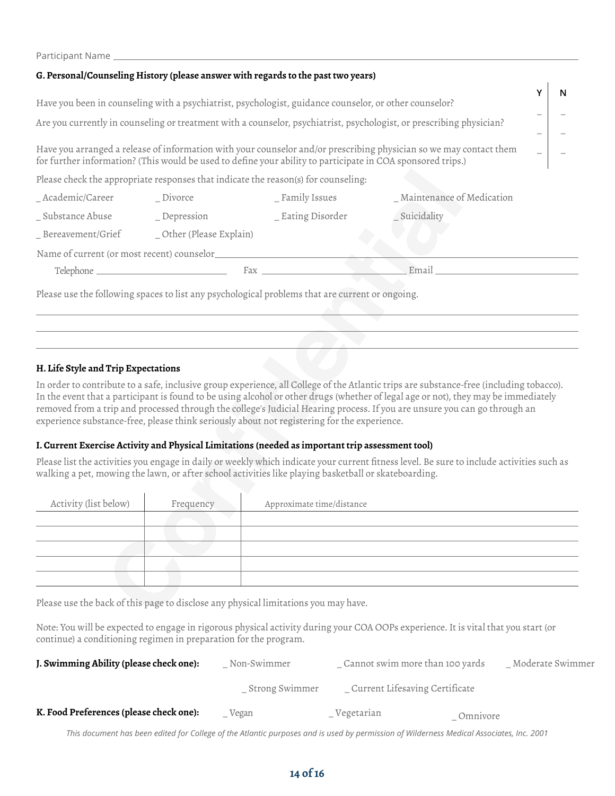|                                                                                                                                                                                                                                   | Failucipalitivality to the control of the control of the control of the control of the control of the control o |                                                                                                 |                            |   |
|-----------------------------------------------------------------------------------------------------------------------------------------------------------------------------------------------------------------------------------|-----------------------------------------------------------------------------------------------------------------|-------------------------------------------------------------------------------------------------|----------------------------|---|
|                                                                                                                                                                                                                                   |                                                                                                                 | G. Personal/Counseling History (please answer with regards to the past two years)               |                            |   |
| Have you been in counseling with a psychiatrist, psychologist, guidance counselor, or other counselor?                                                                                                                            |                                                                                                                 |                                                                                                 |                            | N |
|                                                                                                                                                                                                                                   |                                                                                                                 |                                                                                                 |                            |   |
| Are you currently in counseling or treatment with a counselor, psychiatrist, psychologist, or prescribing physician?                                                                                                              |                                                                                                                 |                                                                                                 |                            |   |
| Have you arranged a release of information with your counselor and/or prescribing physician so we may contact them<br>for further information? (This would be used to define your ability to participate in COA sponsored trips.) |                                                                                                                 |                                                                                                 |                            |   |
|                                                                                                                                                                                                                                   |                                                                                                                 | Please check the appropriate responses that indicate the reason(s) for counseling:              |                            |   |
| _Academic/Career ______ Divorce                                                                                                                                                                                                   |                                                                                                                 | _ Family Issues                                                                                 | _Maintenance of Medication |   |
|                                                                                                                                                                                                                                   |                                                                                                                 |                                                                                                 | _ Suicidality              |   |
|                                                                                                                                                                                                                                   | _Bereavement/Grief ________ _Other (Please Explain)                                                             |                                                                                                 |                            |   |
|                                                                                                                                                                                                                                   |                                                                                                                 |                                                                                                 |                            |   |
|                                                                                                                                                                                                                                   |                                                                                                                 | $\text{Fax}$ and $\text{Fax}$ are the set of $\text{Fax}$                                       | Email                      |   |
|                                                                                                                                                                                                                                   |                                                                                                                 | Please use the following spaces to list any psychological problems that are current or ongoing. |                            |   |

#### **H. Life Style and Trip Expectations**

Participant Name

In order to contribute to a safe, inclusive group experience, all College of the Atlantic trips are substance-free (including tobacco). In the event that a participant is found to be using alcohol or other drugs (whether of legal age or not), they may be immediately removed from a trip and processed through the college's Judicial Hearing process. If you are unsure you can go through an experience substance-free, please think seriously about not registering for the experience.

#### **I. Current Exercise Activity and Physical Limitations (needed as important trip assessment tool)**

Please list the activities you engage in daily or weekly which indicate your current fitness level. Be sure to include activities such as walking a pet, mowing the lawn, or after school activities like playing basketball or skateboarding.

| Activity (list below) | Frequency | Approximate time/distance |
|-----------------------|-----------|---------------------------|
|                       |           |                           |
|                       |           |                           |
|                       |           |                           |
|                       |           |                           |
|                       |           |                           |

Please use the back of this page to disclose any physical limitations you may have.

Note: You will be expected to engage in rigorous physical activity during your COA OOPs experience. It is vital that you start (or continue) a conditioning regimen in preparation for the program.

| J. Swimming Ability (please check one): | Non-Swimmer    | Cannot swim more than 100 yards  |          | _Moderate Swimmer |
|-----------------------------------------|----------------|----------------------------------|----------|-------------------|
|                                         | Strong Swimmer | _ Current Lifesaving Certificate |          |                   |
| K. Food Preferences (please check one): | Vegan          | Vegetarian                       | Omnivore |                   |

This document has been edited for College of the Atlantic purposes and is used by permission of Wilderness Medical Associates, Inc. 2001

#### **14 of 16**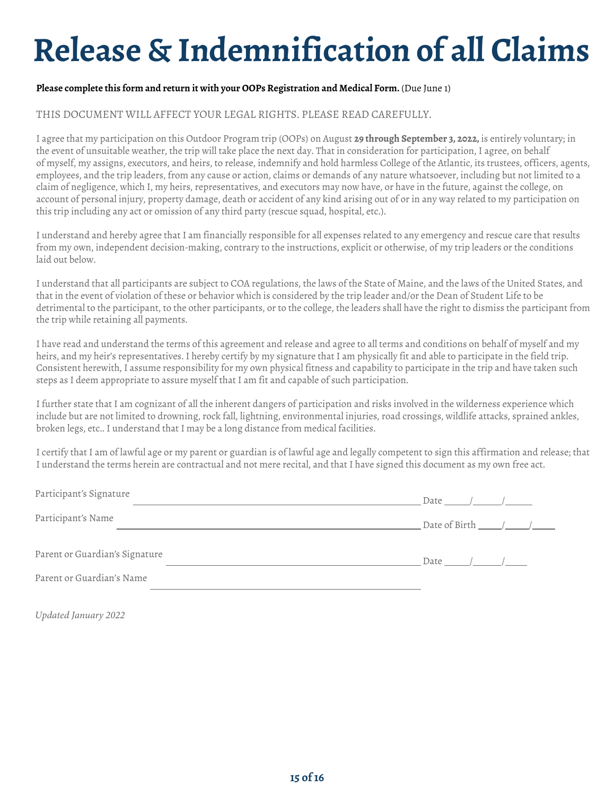## **Release & Indemnification of all Claims**

#### **Please complete this form and return it with your OOPs Registration and Medical Form.** (Due June 1)

#### THIS DOCUMENT WILL AFFECT YOUR LEGAL RIGHTS. PLEASE READ CAREFULLY.

I agree that my participation on this Outdoor Program trip (OOPs) on August **29 through September 3, 2022,** is entirely voluntary; in the event of unsuitable weather, the trip will take place the next day. That in consideration for participation, I agree, on behalf of myself, my assigns, executors, and heirs, to release, indemnify and hold harmless College of the Atlantic, its trustees, officers, agents, employees, and the trip leaders, from any cause or action, claims or demands of any nature whatsoever, including but not limited to a claim of negligence, which I, my heirs, representatives, and executors may now have, or have in the future, against the college, on account of personal injury, property damage, death or accident of any kind arising out of or in any way related to my participation on this trip including any act or omission of any third party (rescue squad, hospital, etc.).

I understand and hereby agree that I am financially responsible for all expenses related to any emergency and rescue care that results from my own, independent decision-making, contrary to the instructions, explicit or otherwise, of my trip leaders or the conditions laid out below.

I understand that all participants are subject to COA regulations, the laws of the State of Maine, and the laws of the United States, and that in the event of violation of these or behavior which is considered by the trip leader and/or the Dean of Student Life to be detrimental to the participant, to the other participants, or to the college, the leaders shall have the right to dismiss the participant from the trip while retaining all payments.

I have read and understand the terms of this agreement and release and agree to all terms and conditions on behalf of myself and my heirs, and my heir's representatives. I hereby certify by my signature that I am physically fit and able to participate in the field trip. Consistent herewith, I assume responsibility for my own physical fitness and capability to participate in the trip and have taken such steps as I deem appropriate to assure myself that I am fit and capable of such participation.

I further state that I am cognizant of all the inherent dangers of participation and risks involved in the wilderness experience which include but are not limited to drowning, rock fall, lightning, environmental injuries, road crossings, wildlife attacks, sprained ankles, broken legs, etc.. I understand that I may be a long distance from medical facilities.

I certify that I am of lawful age or my parent or guardian is of lawful age and legally competent to sign this affirmation and release; that I understand the terms herein are contractual and not mere recital, and that I have signed this document as my own free act.

| Participant's Signature        | Date $\left( \begin{array}{cc} \n\end{array} \right)$ |
|--------------------------------|-------------------------------------------------------|
| Participant's Name             | Date of Birth $\_\_\_\_\_\_\_\_\_\_\_\_\_\$           |
| Parent or Guardian's Signature | Date $\frac{\sqrt{2}}{2}$                             |
| Parent or Guardian's Name      |                                                       |

*Updated January 2022*